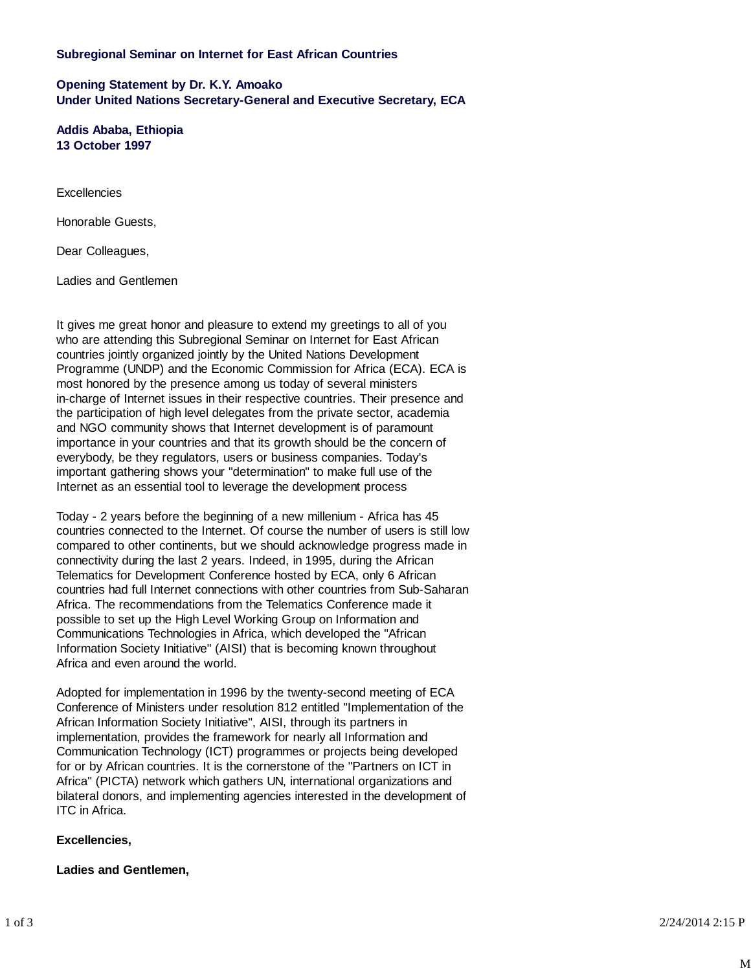# **Subregional Seminar on Internet for East African Countries**

**Opening Statement by Dr. K.Y. Amoako Under United Nations Secretary-General and Executive Secretary, ECA**

**Addis Ababa, Ethiopia 13 October 1997**

Excellencies

Honorable Guests,

Dear Colleagues,

Ladies and Gentlemen

It gives me great honor and pleasure to extend my greetings to all of you who are attending this Subregional Seminar on Internet for East African countries jointly organized jointly by the United Nations Development Programme (UNDP) and the Economic Commission for Africa (ECA). ECA is most honored by the presence among us today of several ministers in-charge of Internet issues in their respective countries. Their presence and the participation of high level delegates from the private sector, academia and NGO community shows that Internet development is of paramount importance in your countries and that its growth should be the concern of everybody, be they regulators, users or business companies. Today's important gathering shows your "determination" to make full use of the Internet as an essential tool to leverage the development process

Today - 2 years before the beginning of a new millenium - Africa has 45 countries connected to the Internet. Of course the number of users is still low compared to other continents, but we should acknowledge progress made in connectivity during the last 2 years. Indeed, in 1995, during the African Telematics for Development Conference hosted by ECA, only 6 African countries had full Internet connections with other countries from Sub-Saharan Africa. The recommendations from the Telematics Conference made it possible to set up the High Level Working Group on Information and Communications Technologies in Africa, which developed the "African Information Society Initiative" (AISI) that is becoming known throughout Africa and even around the world.

Adopted for implementation in 1996 by the twenty-second meeting of ECA Conference of Ministers under resolution 812 entitled "Implementation of the African Information Society Initiative", AISI, through its partners in implementation, provides the framework for nearly all Information and Communication Technology (ICT) programmes or projects being developed for or by African countries. It is the cornerstone of the "Partners on ICT in Africa" (PICTA) network which gathers UN, international organizations and bilateral donors, and implementing agencies interested in the development of ITC in Africa.

### **Excellencies,**

### **Ladies and Gentlemen,**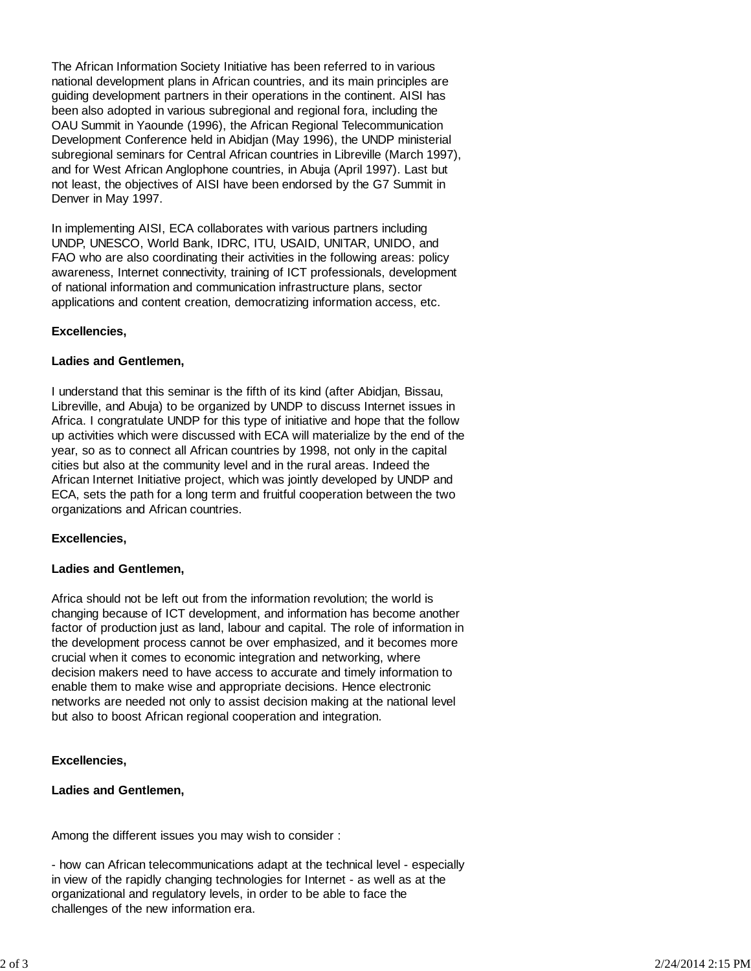The African Information Society Initiative has been referred to in various national development plans in African countries, and its main principles are guiding development partners in their operations in the continent. AISI has been also adopted in various subregional and regional fora, including the OAU Summit in Yaounde (1996), the African Regional Telecommunication Development Conference held in Abidjan (May 1996), the UNDP ministerial subregional seminars for Central African countries in Libreville (March 1997), and for West African Anglophone countries, in Abuja (April 1997). Last but not least, the objectives of AISI have been endorsed by the G7 Summit in Denver in May 1997.

In implementing AISI, ECA collaborates with various partners including UNDP, UNESCO, World Bank, IDRC, ITU, USAID, UNITAR, UNIDO, and FAO who are also coordinating their activities in the following areas: policy awareness, Internet connectivity, training of ICT professionals, development of national information and communication infrastructure plans, sector applications and content creation, democratizing information access, etc.

## **Excellencies,**

### **Ladies and Gentlemen,**

I understand that this seminar is the fifth of its kind (after Abidjan, Bissau, Libreville, and Abuja) to be organized by UNDP to discuss Internet issues in Africa. I congratulate UNDP for this type of initiative and hope that the follow up activities which were discussed with ECA will materialize by the end of the year, so as to connect all African countries by 1998, not only in the capital cities but also at the community level and in the rural areas. Indeed the African Internet Initiative project, which was jointly developed by UNDP and ECA, sets the path for a long term and fruitful cooperation between the two organizations and African countries.

### **Excellencies,**

### **Ladies and Gentlemen,**

Africa should not be left out from the information revolution; the world is changing because of ICT development, and information has become another factor of production just as land, labour and capital. The role of information in the development process cannot be over emphasized, and it becomes more crucial when it comes to economic integration and networking, where decision makers need to have access to accurate and timely information to enable them to make wise and appropriate decisions. Hence electronic networks are needed not only to assist decision making at the national level but also to boost African regional cooperation and integration.

### **Excellencies,**

### **Ladies and Gentlemen,**

Among the different issues you may wish to consider :

- how can African telecommunications adapt at the technical level - especially in view of the rapidly changing technologies for Internet - as well as at the organizational and regulatory levels, in order to be able to face the challenges of the new information era.